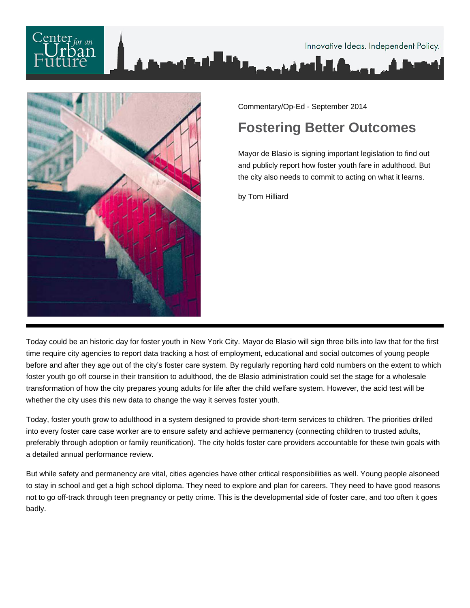



Commentary/Op-Ed - September 2014

## **Fostering Better Outcomes**

Mayor de Blasio is signing important legislation to find out and publicly report how foster youth fare in adulthood. But the city also needs to commit to acting on what it learns.

by Tom Hilliard

Today could be an historic day for foster youth in New York City. Mayor de Blasio will sign three bills into law that for the first time require city agencies to report data tracking a host of employment, educational and social outcomes of young people before and after they age out of the city's foster care system. By regularly reporting hard cold numbers on the extent to which foster youth go off course in their transition to adulthood, the de Blasio administration could set the stage for a wholesale transformation of how the city prepares young adults for life after the child welfare system. However, the acid test will be whether the city uses this new data to change the way it serves foster youth.

Today, foster youth grow to adulthood in a system designed to provide short-term services to children. The priorities drilled into every foster care case worker are to ensure safety and achieve permanency (connecting children to trusted adults, preferably through adoption or family reunification). The city holds foster care providers accountable for these twin goals with a detailed annual performance review.

But while safety and permanency are vital, cities agencies have other critical responsibilities as well. Young people alsoneed to stay in school and get a high school diploma. They need to explore and plan for careers. They need to have good reasons not to go off-track through teen pregnancy or petty crime. This is the developmental side of foster care, and too often it goes badly.